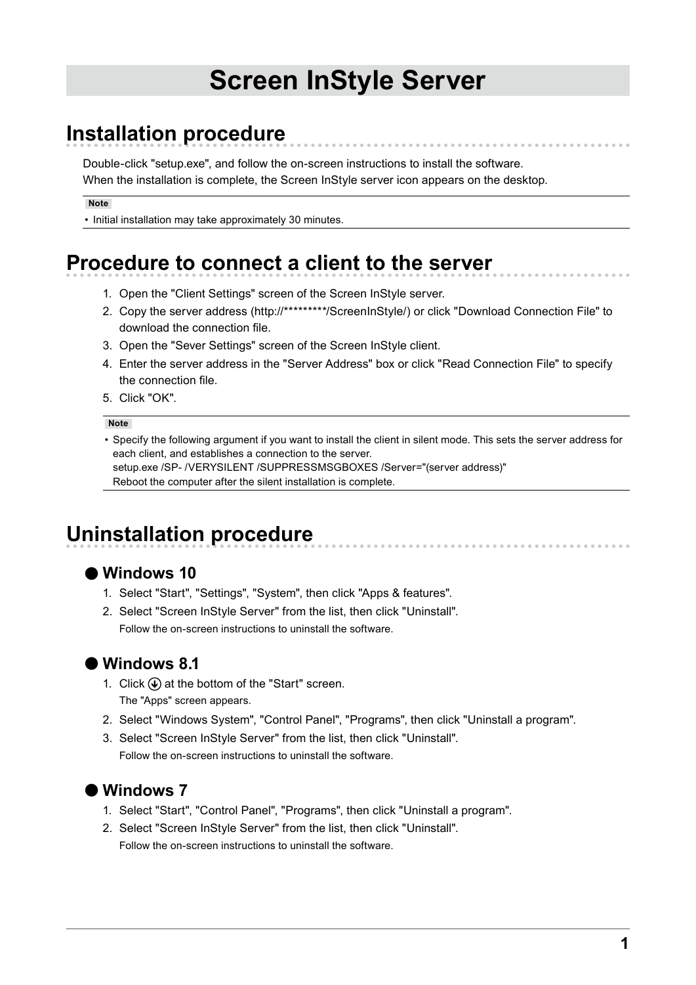# **Screen InStyle Server**

# **Installation procedure**

Double-click "setup.exe", and follow the on-screen instructions to install the software. When the installation is complete, the Screen InStyle server icon appears on the desktop.

**Note**

• Initial installation may take approximately 30 minutes.

# **Procedure to connect a client to the server**

- 1. Open the "Client Settings" screen of the Screen InStyle server.
- 2. Copy the server address (http://\*\*\*\*\*\*\*\*\*/ScreenInStyle/) or click "Download Connection File" to download the connection file.
- 3. Open the "Sever Settings" screen of the Screen InStyle client.
- 4. Enter the server address in the "Server Address" box or click "Read Connection File" to specify the connection file.
- 5. Click "OK".

#### **Note**

• Specify the following argument if you want to install the client in silent mode. This sets the server address for each client, and establishes a connection to the server. setup.exe /SP- /VERYSILENT /SUPPRESSMSGBOXES /Server="(server address)"

Reboot the computer after the silent installation is complete.

# **Uninstallation procedure**

### **●Windows 10**

- 1. Select "Start", "Settings", "System", then click "Apps & features".
- 2. Select "Screen InStyle Server" from the list, then click "Uninstall". Follow the on-screen instructions to uninstall the software.

### **●Windows 8.1**

- 1. Click  $\bigcirc$  at the bottom of the "Start" screen. The "Apps" screen appears.
- 2. Select "Windows System", "Control Panel", "Programs", then click "Uninstall a program".
- 3. Select "Screen InStyle Server" from the list, then click "Uninstall". Follow the on-screen instructions to uninstall the software.



- 1. Select "Start", "Control Panel", "Programs", then click "Uninstall a program".
- 2. Select "Screen InStyle Server" from the list, then click "Uninstall". Follow the on-screen instructions to uninstall the software.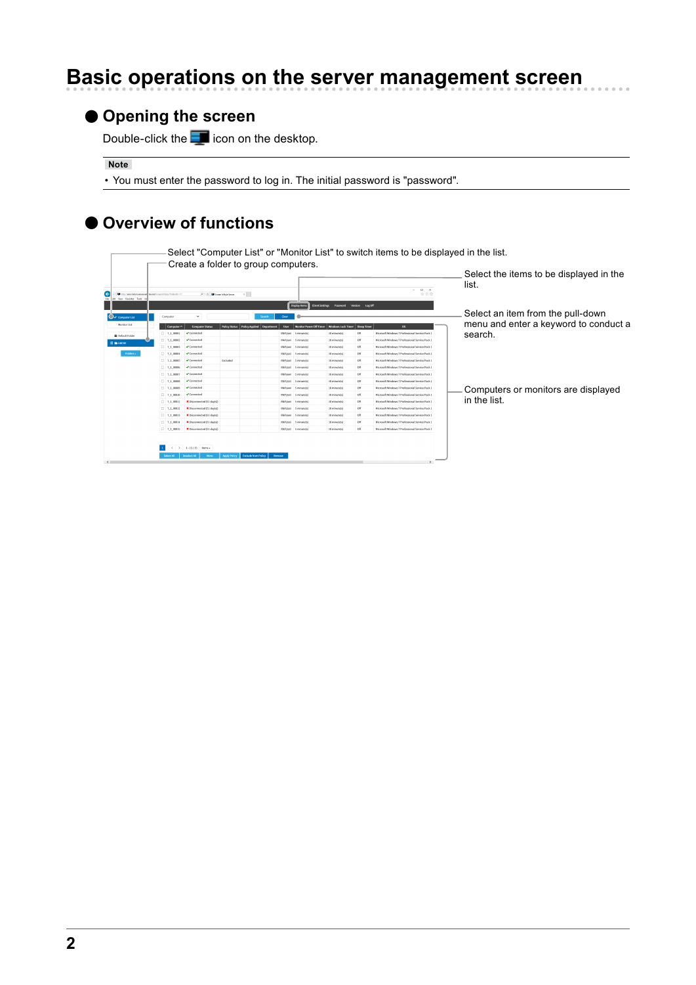# **Basic operations on the server management screen**

### **●Opening the screen**

Double-click the  $\Box$  icon on the desktop.

**Note**

• You must enter the password to log in. The initial password is "password".

### **●Overview of functions**

Select "Computer List" or "Monitor List" to switch items to be displayed in the list.

|                                                                                                             | Create a folder to group computers.                      |                                |            |                 |                                |                                          |             |                                                 | Select the items to be displayed in the |
|-------------------------------------------------------------------------------------------------------------|----------------------------------------------------------|--------------------------------|------------|-----------------|--------------------------------|------------------------------------------|-------------|-------------------------------------------------|-----------------------------------------|
| (e<br><b>COL</b><br>to have a second bound contribute business of<br><b>Fig.</b><br>tot View Ferontes Tools | $\times$<br>$D = C$ $\blacksquare$ Screen InStyle Server |                                |            |                 | $   \times$<br>命会員             |                                          |             |                                                 | list.                                   |
|                                                                                                             |                                                          |                                |            |                 | Display Herro                  | Client Settings Password Version Log Off |             |                                                 |                                         |
| Computer<br>◯ computerList                                                                                  | $\checkmark$                                             |                                | Search     | Clear           |                                |                                          |             |                                                 | Select an item from the pull-down       |
| Monitor List<br>Computer ^                                                                                  | <b>Computer Status</b>                                   | Policy Status   Policy Applied | Department | User            | <b>Monitor Power Off Timer</b> | <b>Windows Lock Timer</b>                | Sleep Timer | os                                              | menu and enter a keyword to conduct a   |
| $T_1 00001$<br><b>B</b> Default Folder                                                                      | Connected                                                |                                |            |                 | KB/Literi 5 minutels           | 10 minute(s)                             | Off         | Microsoft Windows 7 Professional Service Pack 3 | search.                                 |
| $\Box$ T 1 00002<br><b>EE</b> SHABCDE                                                                       | Connected                                                |                                |            | <b>CAFAssi</b>  | 5 minute(s)                    | 10 minute(s)                             | off         | Microsoft Windows 7 Professional Service Pack 1 |                                         |
| $T_1$ 00003                                                                                                 | Connected                                                |                                |            | KNASAH          | 5 minutels)                    | 10 minute(s)                             | off         | Microsoft Windows 7 Professional Service Pack 1 |                                         |
| Folders »<br>$\Box$ T_1_00004                                                                               | Connected                                                |                                |            | <b>CARAge</b>   | 5 minute(s)                    | 10 minute(s)                             | off         | Microsoft Windows 7 Professional Service Pack 1 |                                         |
| $\Box$ T. 1.00005                                                                                           | Connected                                                | Excluded                       |            | <b>KNA</b> SAHI | 5 minute(s)                    | 10 minute(s)                             | off         | Microsoft Windows 7 Professional Service Pack ] |                                         |
| $\sqcap$ T 1 00006                                                                                          | Connected                                                |                                |            | <b>Oklinati</b> | 5 minute(s)                    | 10 minute(s)                             | Off         | Microsoft Windows 7 Professional Service Pack 1 |                                         |
| $\Box$ T_1_00007                                                                                            | Connected                                                |                                |            | <b>KNASARI</b>  | 5 minutels)                    | 10 minute(s)                             | off         | Microsoft Windows 7 Professional Service Pack I |                                         |
| $\Box$ T_1_00008                                                                                            | Connected                                                |                                |            |                 | <b>ENFIDEE 5 minute(s)</b>     | 10 minute(s)                             | off         | Microsoft Windows 7 Professional Service Pack   | Computers or monitors are displayed     |
| $\Box$ T 1 00009                                                                                            | Connected                                                |                                |            | KNAAsed         | 5 minute(s)                    | 10 minute(s)                             | off         | Microsoft Windows 7 Professional Service Pack 1 |                                         |
| $T_1$ 00010                                                                                                 | Connected                                                |                                |            | <b>ENALLER</b>  | 5 minute(s)                    | 10 minute(s)                             | off         | Microsoft Windows 7 Professional Service Pack   |                                         |
| $\Box$ T 1 0001                                                                                             | X Disconnected (51 day(s))                               |                                |            | <b>KNASARI</b>  | 5 minutels)                    | 10 minute(s)                             | off         | Microsoft Windows 7 Professional Service Pack 3 | in the list.                            |
| $T_1$ 00012                                                                                                 | X Disconnected (51 day(s))                               |                                |            | <b>ENALES</b>   | 5 minute(s)                    | 10 minute(s)                             | off         | Microsoft Windows 7 Professional Service Pack   |                                         |
| $\Box$ T_1_00013                                                                                            | X Disconnected (S1 day/sl)                               |                                |            | KNAAst          | 5 minute(s)                    | 10 minute(s)                             | off         | Microsoft Windows 7 Professional Service Pack 1 |                                         |
| $T = 1.00014$                                                                                               | X Disconnected (51 day(s))                               |                                |            | <b>ENALLER</b>  | 5 minute(s)                    | 10 minute(s)                             | off         | Microsoft Windows 7 Professional Service Pack   |                                         |
| $T = 1.00015$                                                                                               | X Disconnected (51 day(s))                               |                                |            |                 | KNALAusi 5 minute(s)           | 10 minute(s)                             | off         | Microsoft Windows 7 Professional Service Pack 1 |                                         |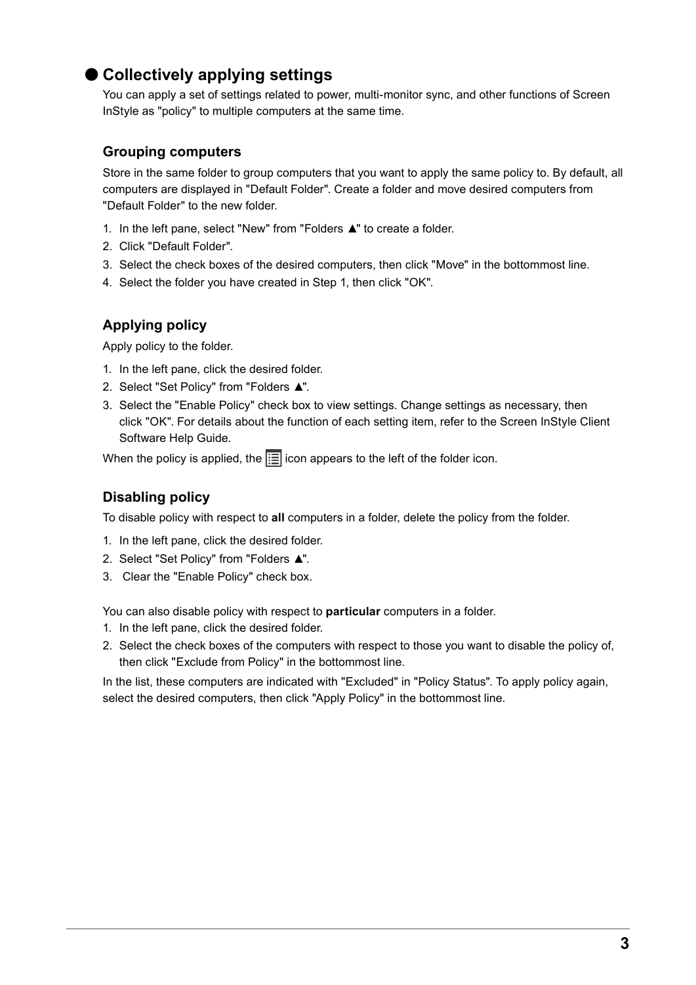### **●Collectively applying settings**

You can apply a set of settings related to power, multi-monitor sync, and other functions of Screen InStyle as "policy" to multiple computers at the same time.

#### **Grouping computers**

Store in the same folder to group computers that you want to apply the same policy to. By default, all computers are displayed in "Default Folder". Create a folder and move desired computers from "Default Folder" to the new folder.

- 1. In the left pane, select "New" from "Folders ▲" to create a folder.
- 2. Click "Default Folder".
- 3. Select the check boxes of the desired computers, then click "Move" in the bottommost line.
- 4. Select the folder you have created in Step 1, then click "OK".

#### **Applying policy**

Apply policy to the folder.

- 1. In the left pane, click the desired folder.
- 2. Select "Set Policy" from "Folders ▲".
- 3. Select the "Enable Policy" check box to view settings. Change settings as necessary, then click "OK". For details about the function of each setting item, refer to the Screen InStyle Client Software Help Guide.

When the policy is applied, the  $\equiv$  icon appears to the left of the folder icon.

### **Disabling policy**

To disable policy with respect to **all** computers in a folder, delete the policy from the folder.

- 1. In the left pane, click the desired folder.
- 2. Select "Set Policy" from "Folders ▲".
- 3. Clear the "Enable Policy" check box.

You can also disable policy with respect to **particular** computers in a folder.

- 1. In the left pane, click the desired folder.
- 2. Select the check boxes of the computers with respect to those you want to disable the policy of, then click "Exclude from Policy" in the bottommost line.

In the list, these computers are indicated with "Excluded" in "Policy Status". To apply policy again, select the desired computers, then click "Apply Policy" in the bottommost line.